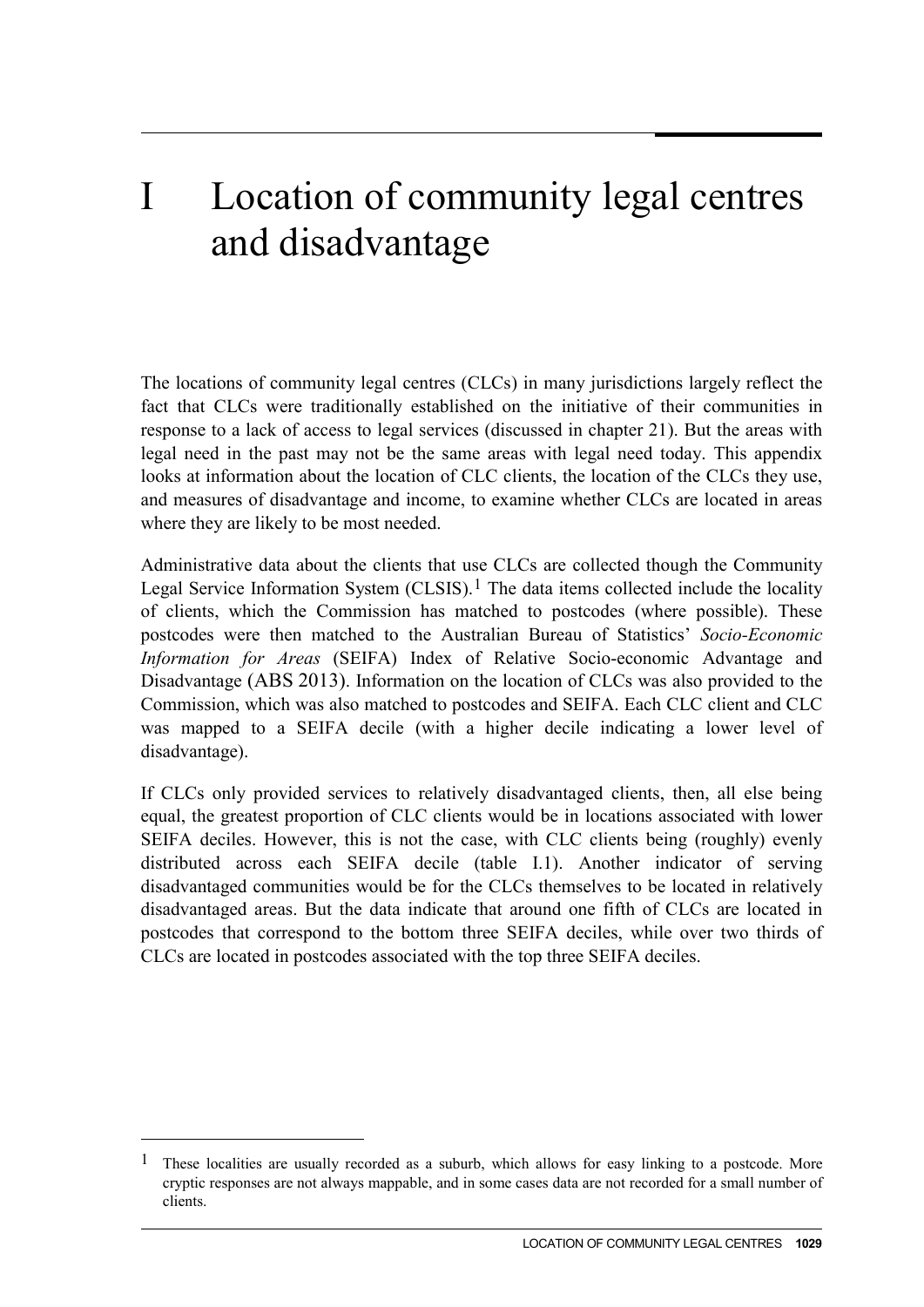## I Location of community legal centres and disadvantage

The locations of community legal centres (CLCs) in many jurisdictions largely reflect the fact that CLCs were traditionally established on the initiative of their communities in response to a lack of access to legal services (discussed in chapter 21). But the areas with legal need in the past may not be the same areas with legal need today. This appendix looks at information about the location of CLC clients, the location of the CLCs they use, and measures of disadvantage and income, to examine whether CLCs are located in areas where they are likely to be most needed.

Administrative data about the clients that use CLCs are collected though the Community Legal Service Information System (CLSIS).<sup>[1](#page-0-0)</sup> The data items collected include the locality of clients, which the Commission has matched to postcodes (where possible). These postcodes were then matched to the Australian Bureau of Statistics' *Socio-Economic Information for Areas* (SEIFA) Index of Relative Socio-economic Advantage and Disadvantage (ABS 2013). Information on the location of CLCs was also provided to the Commission, which was also matched to postcodes and SEIFA. Each CLC client and CLC was mapped to a SEIFA decile (with a higher decile indicating a lower level of disadvantage).

If CLCs only provided services to relatively disadvantaged clients, then, all else being equal, the greatest proportion of CLC clients would be in locations associated with lower SEIFA deciles. However, this is not the case, with CLC clients being (roughly) evenly distributed across each SEIFA decile (table I.1). Another indicator of serving disadvantaged communities would be for the CLCs themselves to be located in relatively disadvantaged areas. But the data indicate that around one fifth of CLCs are located in postcodes that correspond to the bottom three SEIFA deciles, while over two thirds of CLCs are located in postcodes associated with the top three SEIFA deciles.

-

<span id="page-0-0"></span><sup>1</sup> These localities are usually recorded as a suburb, which allows for easy linking to a postcode. More cryptic responses are not always mappable, and in some cases data are not recorded for a small number of clients.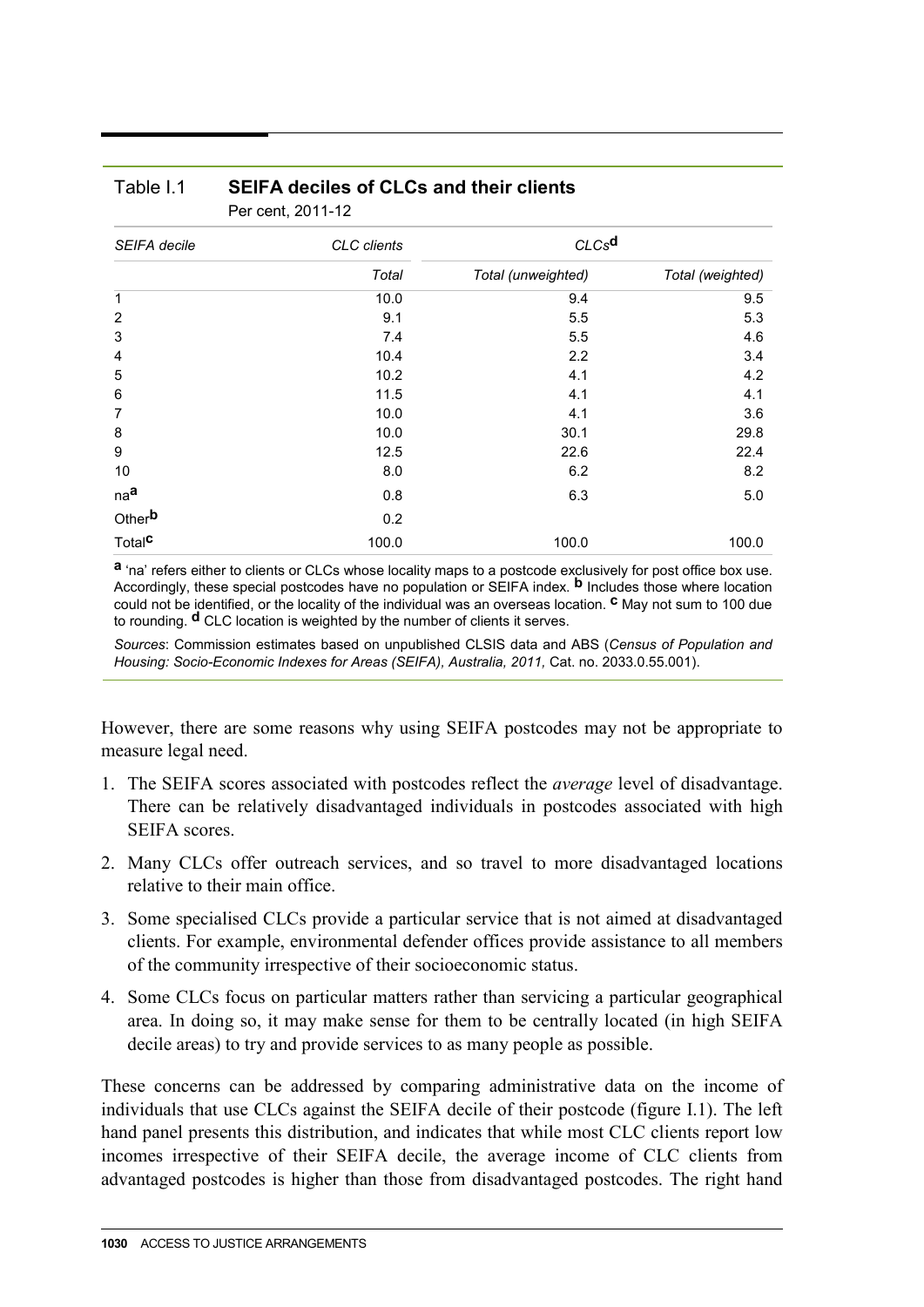| SEIFA decile       | CLC clients<br>Total | CLCs <sup>d</sup>  |                  |
|--------------------|----------------------|--------------------|------------------|
|                    |                      | Total (unweighted) | Total (weighted) |
| $\mathbf{1}$       | 10.0                 | 9.4                | 9.5              |
| $\overline{2}$     | 9.1                  | 5.5                | 5.3              |
| 3                  | 7.4                  | 5.5                | 4.6              |
| 4                  | 10.4                 | 2.2                | 3.4              |
| 5                  | 10.2                 | 4.1                | 4.2              |
| 6                  | 11.5                 | 4.1                | 4.1              |
| $\overline{7}$     | 10.0                 | 4.1                | 3.6              |
| 8                  | 10.0                 | 30.1               | 29.8             |
| 9                  | 12.5                 | 22.6               | 22.4             |
| 10                 | 8.0                  | 6.2                | 8.2              |
| na <sup>a</sup>    | 0.8                  | 6.3                | 5.0              |
| Other <sup>b</sup> | 0.2                  |                    |                  |
| Total <sup>C</sup> | 100.0                | 100.0              | 100.0            |

## Table I.1 **SEIFA deciles of CLCs and their clients** Per cent, 2011-12

**a** 'na' refers either to clients or CLCs whose locality maps to a postcode exclusively for post office box use. Accordingly, these special postcodes have no population or SEIFA index. **b** Includes those where location could not be identified, or the locality of the individual was an overseas location. **c** May not sum to 100 due to rounding. **d** CLC location is weighted by the number of clients it serves.

*Sources*: Commission estimates based on unpublished CLSIS data and ABS (*Census of Population and Housing: Socio-Economic Indexes for Areas (SEIFA), Australia, 2011,* Cat. no. 2033.0.55.001).

However, there are some reasons why using SEIFA postcodes may not be appropriate to measure legal need.

- 1. The SEIFA scores associated with postcodes reflect the *average* level of disadvantage. There can be relatively disadvantaged individuals in postcodes associated with high SEIFA scores.
- 2. Many CLCs offer outreach services, and so travel to more disadvantaged locations relative to their main office.
- 3. Some specialised CLCs provide a particular service that is not aimed at disadvantaged clients. For example, environmental defender offices provide assistance to all members of the community irrespective of their socioeconomic status.
- 4. Some CLCs focus on particular matters rather than servicing a particular geographical area. In doing so, it may make sense for them to be centrally located (in high SEIFA decile areas) to try and provide services to as many people as possible.

These concerns can be addressed by comparing administrative data on the income of individuals that use CLCs against the SEIFA decile of their postcode (figure I.1). The left hand panel presents this distribution, and indicates that while most CLC clients report low incomes irrespective of their SEIFA decile, the average income of CLC clients from advantaged postcodes is higher than those from disadvantaged postcodes. The right hand